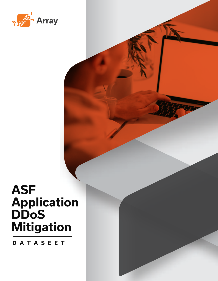

# **ASF Application DDoS Mitigation**

**DATASEET**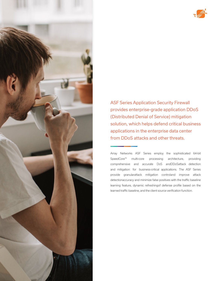

ASF Series Application Security Firewall provides enterprise-grade application DDoS (Distributed Denial of Service) mitigation solution, which helps defend critical business applications in the enterprise data center from DDoS attacks and other threats.

Array Networks ASF Series employ the sophisticated 64-bit SpeedCore™ multi-core processing architecture, providing comprehensive and accurate DoS andDDoSattack detection and mitigation for business-critical applications. The ASF Series provide granularattack mitigation controland improve attack detectionaccuracy and minimize false positives with the traffic baseline learning feature, dynamic refreshingof defense profile based on the learned traffic baseline, and the client source verification function.

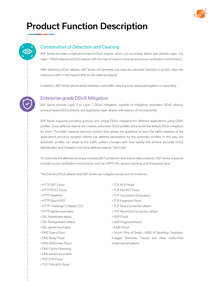

## Product Function Description

### Combination of Detection and Cleaning

ASF Series provides a high-performance DDoS engine, which can accurately detect and identify Layer 3 to Layer 7 DDoS attacks and DoS attacks with the help of session tracking and source verification mechanisms.

After detecting DDoS attacks, ASF Series will generate and execute automatic blacklist to quickly clean the malicious traffic in the mixed traffic for the defense objects.

In addition, ASF Series allows attack detection and traffic cleaning to be deployed together or separately.



### Enterprise-grade DDoS Mitigation

ASF Series provide Layer 3 to Layer 7 DDoS mitigation, capable of mitigating volumetric DDoS attacks, protocol-based DDoS attacks, and application layer attacks with latency of microseconds.

ASF Series supports providing granular and unique DDoS mitigation for different applications using DDoS profiles. Once defense objects are created, automatic DDoS profiles will provide the default DDoS mitigation for them. The traffic baseline learning function then allows the appliance to learn the traffic baseline of the applications and thus dynamic refresh the defense parameters for the automatic profiles. In this way, the automatic profiles can adapt to the traffic pattern changes with time agilely and achieve accurate DDoS identification and mitigation including defense against "Zero-day".

To maximize the defense accuracy including BOT protection and reduce false positives, ASF Series supports multiple source verification mechanisms, such as CAPTCHA, session tracking, and first packet drop.

The DoS and DDoS attacks that ASF Series can mitigate include but not limited to:

- HTTP GET Flood
- HTTP POST Flood
- HTTP Slowloris
- HTTP Slow POST
- HTTP Challenge Collapsar (CC)
- HTTP packet anomalies
- SSL Handshake attack
- SSL Renegotiation attack
- SSL packet anomalies
- DNS Query Flood
- DNS Reply Flood
- DNS NXDomain Flood
- DNS Cache Poisoning
- DNS packet anomalies
- TCP SYN Flood
- TCP SYN-ACK Flood
- TCP ACK Flood
- TCP FIN/RST Flood
- TCP Connection Exhaustion
- TCP Fragment Flood
- TCP Slow Connection attack
- TCP Abnormal Connection attack
- UDP Flood
- UDP Fragment Flood
- ICMP Flood
- Smurf, Ping of Death, LAND, IP Spoofing, Teardrop, Fraggle, Winnuke, Tracert and other malformed single-packet attacks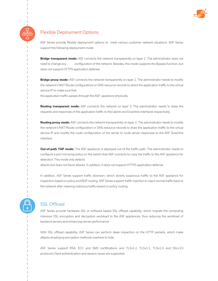

### Flexible Deployment Options

ASF Series provide flexible deployment options to meet various customer network situations. ASF Series support the following deployment mode:

**Bridge transparent mode:** ASF connects the network transparently on layer 2. The administrator does not need to change any configuration of the network. Besides, this mode supports the Bypass function, but does not support HTTPS application defense.

**Bridge proxy mode:** ASF connects the network transparently on layer 2. The administrator needs to modify the network's NAT/Route configurations or DNS resource records to direct the application traffic to the virtual service IP to make sure that

the application traffic passes through the ASF appliance physically.

**Routing transparent mode:** ASF connects the network on layer 3. The administrator needs to draw the requests and responses of the application traffic to the Uplink and Downlink interfaces respectively.

**Routing proxy mode:** ASF connects the network transparently on layer 3. The administrator needs to modify the network's NAT/Route configuration or DNS resource records to draw the application traffic to the virtual service IP and modify the route configuration of the server to route server responses to the ASF Downlink interface.

**Out-of-path TAP mode:** The ASF appliance is deployed out of the traffic path. The administrator needs to configure a port mirroring policy on the switch that ASF connects to copy the traffic to the ASF appliance for detection. This mode only detects

attacks but does not block attacks. In addition, it does not support HTTPS application defense.

In addition, ASF Series support traffic diversion, which diverts suspicious traffic to the ASF appliance for inspection based on policy and BGP routing. ASF Series support traffic injection to inject normal traffic back to the network after cleaning malicious traffic based on policy routing.



### SSL Offload

ASF Series provide hardware SSL or software based SSL offload capability, which migrate the computing intensive SSL encryption and decryption workload to the ASF appliances, thus reducing the workload of backend servers and enhancing server performance.

With SSL offload capability, ASF Series can perform deep inspection on the HTTP packets, which make attacks employing encryption methods nowhere to hide.

ASF Series support RSA, ECC and SM2 certifications and TLSv1.2, TLSv1.1, TLSv1.0 and SSLv3.0 protocols.Client authentication and session reuse are supported.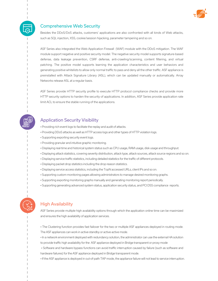

## Comprehensive Web Security

Besides the DDoS/DoS attacks, customers' applications are also confronted with all kinds of Web attacks, such as SQL injection, XSS, cookie/session hijacking, parameter tampering and so on.

ASF Series also integrated the Web Application Firewall (WAF) module with the DDoS mitigation. The WAF module support negative and positive security model. The negative security model supports signature-based defense, data leakage prevention, CSRF defense, anti-crawling/scanning, content filtering, and virtual patching. The positive model supports learning the application characteristics and user behaviors and generating positive whitelists to allow only normal traffic to pass and deny all the other traffic. ASF appliance is preinstalled with Attack Signature Library (ASL), which can be updated manually or automatically. Array Networks release ASL at a regular basis.

ASF Series provide HTTP security profile to execute HTTP protocol compliance checks and provide more HTTP security options to harden the security of applications. In addition, ASF Series provide application rate limit ACL to ensure the stable running of the applications.

### Application Security Visibility

- Providing rich event logs to facilitate the replay and audit of attacks.
- Providing DDoS attacks as well as HTTP access logs and other types of HTTP violation logs.
- Supporting exporting security event logs.
- Providing granular and intuitive graphic monitoring.
- Displaying real-time and historical system status such as CPU usage, RAM usage, disk usage and throughput.
- Displaying attack statistics, covering severity distribution, attack type, attack sources, attack source regions and so on.
- Displaying service traffic statistics, including detailed statistics for the traffic of different protocols.
- Displaying packet drop statistics including the drop reason statistics.
- Displaying service access statistics, including the TopN accessed URLs, client IPs and so on.
- Supporting custom monitoring pages allowing administrators to manage desired monitoring graphs.
- Supporting exporting monitoring graphs manually and generating monitoring report periodically.
- Supporting generating advanced system status, application security status, and PCI DSS compliance reports.



#### High Availability

ASF Series provide multiple high availability options through which the application online time can be maximized and ensures the high availability of application services.

• The Clustering function provides fast failover for the two or multiple ASF appliances deployed in routing mode. The ASF appliances can work in active-standby or active-active mode.

• In a network environment deployed with redundancy solution, the administrator can use the external HA solution to provide traffic high availability for the ASF appliance deployed in Bridge transparent or proxy mode

- Software and hardware bypass functions can avoid traffic interruption caused by failure (such as software and hardware failures) for the ASF appliance deployed in Bridge transparent mode.
- If the ASF appliance is deployed in out-of-path TAP mode, the appliance failure will not lead to service interruption.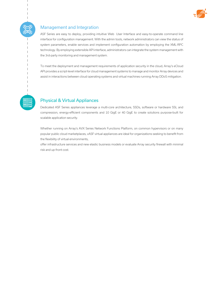

### Management and Integration

ASF Series are easy to deploy, providing intuitive Web User Interface and easy-to-operate command line interface for configuration management. With the admin tools, network administrators can view the status of system parameters, enable services and implement configuration automation by employing the XML-RPC technology. By employing extensible API interface, administrators can integrate the system management with the 3rd-party monitoring and management system.

To meet the deployment and management requirements of application security in the cloud, Array's eCloud API provides a script-level interface for cloud management systems to manage and monitor Array devices and assist in interactions between cloud operating systems and virtual machines running Array DDoS mitigation.



### Physical & Virtual Appliances

Dedicated ASF Series appliances leverage a multi-core architecture, SSDs, software or hardware SSL and compression, energy-efficient components and 10 GigE or 40 GigE to create solutions purpose-built for scalable application security.

Whether running on Array's AVX Series Network Functions Platform, on common hypervisors or on many popular public cloud marketplaces, vASF virtual appliances are ideal for organizations seeking to benefit from the flexibility of virtual environments,

offer infrastructure services and new elastic business models or evaluate Array security firewall with minimal risk and up-front cost.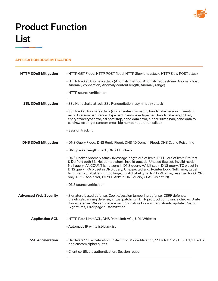

## Product Function List

#### **APPLICATION DDOS MITIGATION**

| <b>HTTP DDoS Mitigation</b>  | • HTTP GET Flood, HTTP POST flood, HTTP Slowloris attack, HTTP Slow POST attack                                                                                                                                                                                                                                                                                                                                                                                                                                               |
|------------------------------|-------------------------------------------------------------------------------------------------------------------------------------------------------------------------------------------------------------------------------------------------------------------------------------------------------------------------------------------------------------------------------------------------------------------------------------------------------------------------------------------------------------------------------|
|                              | • HTTP Packet Anomaly attack (Anomaly method, Anomaly request-line, Anomaly host,<br>Anomaly connection, Anomaly content-length, Anomaly range)                                                                                                                                                                                                                                                                                                                                                                               |
|                              | • HTTP source verification                                                                                                                                                                                                                                                                                                                                                                                                                                                                                                    |
| <b>SSL DDoS Mitigation</b>   | • SSL Handshake attack, SSL Renegotiation (asymmetry) attack                                                                                                                                                                                                                                                                                                                                                                                                                                                                  |
|                              | . SSL Packet Anomaly attack (cipher suites mismatch, handshake version mismatch,<br>record version bad, record type bad, handshake type bad, handshake length bad,<br>encrypt/decrypt error, ssl host stop, send data error, cipher suites bad, send data to<br>card/sw error, get random error, big number operation failed)                                                                                                                                                                                                 |
|                              | • Session tracking                                                                                                                                                                                                                                                                                                                                                                                                                                                                                                            |
| <b>DNS DDoS Mitigation</b>   | • DNS Query Flood, DNS Reply Flood, DNS NXDomain Flood, DNS Cache Poisoning                                                                                                                                                                                                                                                                                                                                                                                                                                                   |
|                              | • DNS packet length check, DNS TTL check                                                                                                                                                                                                                                                                                                                                                                                                                                                                                      |
|                              | . DNS Packet Anomaly attack (Message length out of limit, IP TTL out of limit, SrcPort<br>& DstPort both 53, Header too short, Invalid opcode, Unused flag set, Invalid rcode,<br>Null query, ANCOUNT is not zero in DNS query, AA bit set in DNS query, TC bit set in<br>DNS query, RA bit set in DNS query, Unexpected end, Pointer loop, Null name, Label<br>length error, Label length too large, Invalid label type, RR TYPE error, reserved for QTYPE<br>only, RR CLASS error, QTYPE ANY in DNS query, CLASS is not IN) |
|                              | • DNS source verification                                                                                                                                                                                                                                                                                                                                                                                                                                                                                                     |
| <b>Advanced Web Security</b> | . Signature-based defense, Cookie/session tampering defense, CSRF defense,<br>crawling/scanning defense, virtual patching, HTTP protocol compliance checks, Brute<br>force defense, Web antidefacement, Signature Library manual/auto update, Custom<br>Signatures, Error page customization                                                                                                                                                                                                                                  |
| <b>Application ACL</b>       | • HTTP Rate Limit ACL, DNS Rate Limit ACL, URL Whitelist                                                                                                                                                                                                                                                                                                                                                                                                                                                                      |
|                              | • Automatic IP whitelist/blacklist                                                                                                                                                                                                                                                                                                                                                                                                                                                                                            |
| <b>SSL Acceleration</b>      | • Hardware SSL acceleration, RSA/ECC/SM2 certification, SSLv3/TLSv1/TLSv1.1/TLSv1.2,<br>and custom cipher suites                                                                                                                                                                                                                                                                                                                                                                                                              |
|                              | • Client certificate authentication, Session reuse                                                                                                                                                                                                                                                                                                                                                                                                                                                                            |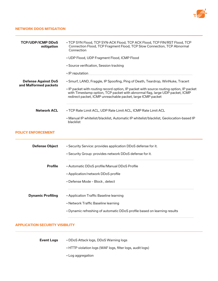

#### **NETWORK DDOS MITIGATION**

| <b>TCP/UDP/ICMP DDoS</b><br>mitigation | • TCP SYN Flood, TCP SYN-ACK Flood, TCP ACK Flood, TCP FIN/RST Flood, TCP<br>Connection Flood, TCP Fragment Flood, TCP Slow Connection, TCP Abnormal<br>Connection                                                                     |  |  |  |  |
|----------------------------------------|----------------------------------------------------------------------------------------------------------------------------------------------------------------------------------------------------------------------------------------|--|--|--|--|
|                                        | • UDP Flood, UDP Fragment Flood, ICMP Flood                                                                                                                                                                                            |  |  |  |  |
|                                        | • Source verification, Session tracking                                                                                                                                                                                                |  |  |  |  |
|                                        | • IP reputation                                                                                                                                                                                                                        |  |  |  |  |
| <b>Defense Against DoS</b>             | • Smurf, LAND, Fraggle, IP Spoofing, Ping of Death, Teardrop, WinNuke, Tracert                                                                                                                                                         |  |  |  |  |
| and Malformed packets                  | . IP packet with routing record option, IP packet with source routing option, IP packet<br>with Timestamp option, TCP packet with abnormal flag, large UDP packet, ICMP<br>redirect packet, ICMP unreachable packet, large ICMP packet |  |  |  |  |
| <b>Network ACL</b>                     | • TCP Rate Limit ACL, UDP Rate Limit ACL, ICMP Rate Limit ACL                                                                                                                                                                          |  |  |  |  |
|                                        | • Manual IP whitelist/blacklist, Automatic IP whitelist/blacklist, Geolocation-based IP<br>blacklist                                                                                                                                   |  |  |  |  |
| <b>POLICY ENFORCEMENT</b>              |                                                                                                                                                                                                                                        |  |  |  |  |
| <b>Defense Object</b>                  | • Security Service: provides application DDoS defense for it.                                                                                                                                                                          |  |  |  |  |
|                                        | • Security Group: provides network DDoS defense for it.                                                                                                                                                                                |  |  |  |  |
| <b>Profile</b>                         | • Automatic DDoS profile/Manual DDoS Profile                                                                                                                                                                                           |  |  |  |  |
|                                        | • Application/network DDoS profile                                                                                                                                                                                                     |  |  |  |  |
|                                        | • Defense Mode - Block, detect                                                                                                                                                                                                         |  |  |  |  |
| <b>Dynamic Profiling</b>               | • Application Traffic Baseline learning                                                                                                                                                                                                |  |  |  |  |
|                                        | • Network Traffic Baseline learning                                                                                                                                                                                                    |  |  |  |  |
|                                        | • Dynamic refreshing of automatic DDoS profile based on learning results                                                                                                                                                               |  |  |  |  |

#### **APPLICATION SECURITY VISIBILITY**

| Event Logs | • DDoS Attack logs, DDoS Warning logs                     |  |  |  |  |  |  |
|------------|-----------------------------------------------------------|--|--|--|--|--|--|
|            | • HTTP violation logs (WAF logs, filter logs, audit logs) |  |  |  |  |  |  |
|            | • Log aggregation                                         |  |  |  |  |  |  |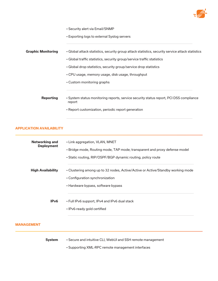

|                           | • Security alert via Email/SNMP<br>• Exporting logs to external Syslog servers                   |  |  |  |  |
|---------------------------|--------------------------------------------------------------------------------------------------|--|--|--|--|
|                           |                                                                                                  |  |  |  |  |
| <b>Graphic Monitoring</b> | • Global attack statistics, security group attack statistics, security service attack statistics |  |  |  |  |
|                           | • Global traffic statistics, security group/service traffic statistics                           |  |  |  |  |
|                           | • Global drop statistics, security group/service drop statistics                                 |  |  |  |  |
|                           | • CPU usage, memory usage, disk usage, throughput                                                |  |  |  |  |
|                           | • Custom monitoring graphs                                                                       |  |  |  |  |
| <b>Reporting</b>          | • System status monitoring reports, service security status report, PCI DSS compliance<br>report |  |  |  |  |
|                           | • Report customization, periodic report generation                                               |  |  |  |  |

#### **APPLICATION AVAILABILITY**

| <b>Networking and</b><br><b>Deployment</b> | • Link aggregation, VLAN, MNET<br>• Bridge mode, Routing mode, TAP mode; transparent and proxy defense model<br>• Static routing, RIP/OSPF/BGP dynamic routing, policy route |
|--------------------------------------------|------------------------------------------------------------------------------------------------------------------------------------------------------------------------------|
| <b>High Availability</b>                   | • Clustering among up to 32 nodes, Active/Active or Active/Standby working mode<br>• Configuration synchronization<br>• Hardware bypass, software bypass                     |
| IP <sub>v</sub> 6                          | • Full IPv6 support, IPv4 and IPv6 dual stack<br>• IPv6-ready gold certified                                                                                                 |

#### **MANAGEMENT**

**System** • Secure and intuitive CLI, WebUI and SSH remote management

• Supporting XML-RPC remote management interfaces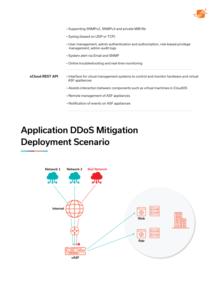

- Supporting SNMPv2, SNMPv3 and private MIB file
- Syslog (based on UDP or TCP)
- User management, admin authentication and authorization, role-based privilege management, admin audit logs
- System alert via Email and SNMP
- Online troubleshooting and real-time monitoring
- **eCloud REST API** Interface for cloud management systems to control and monitor hardware and virtual ASF appliances
	- Assists interaction between components such as virtual machines in CloudOS
	- Remote management of ASF appliances
	- Notification of events on ASF appliances

## Application DDoS Mitigation Deployment Scenario

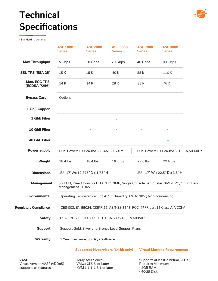

# **Technical Specifications**

• Standard o Optional

|                                                                      | <b>ASF 1800</b><br><b>Series</b>                                                                             | <b>ASF 2800</b><br><b>Series</b>                                           | <b>ASF 5800</b><br><b>Series</b>           | <b>ASF 7800</b><br><b>Series</b>     | <b>ASF 9800</b><br><b>Series</b>    |  |  |  |
|----------------------------------------------------------------------|--------------------------------------------------------------------------------------------------------------|----------------------------------------------------------------------------|--------------------------------------------|--------------------------------------|-------------------------------------|--|--|--|
| <b>Max Throughput</b>                                                | 5 Gbps                                                                                                       | 10 Gbps                                                                    | 20 Gbps                                    | 40 Gbps                              | 80 Gbps                             |  |  |  |
| <b>SSL TPS (RSA 2K)</b>                                              | 15 K                                                                                                         | 15K                                                                        | 40 K                                       | 55 k                                 | 110 K                               |  |  |  |
| <b>Max. ECC TPS</b><br><b>(ECDSA P256)</b>                           | 14 K                                                                                                         | 14 K                                                                       | 28 K                                       | 38 K                                 | 76 K                                |  |  |  |
| <b>Bypass Card</b>                                                   | Optional                                                                                                     |                                                                            |                                            |                                      |                                     |  |  |  |
| 1 GbE Copper                                                         |                                                                                                              |                                                                            |                                            |                                      |                                     |  |  |  |
| 1 GbE Fiber                                                          |                                                                                                              |                                                                            | $\circ$                                    |                                      |                                     |  |  |  |
| 10 GbE Fiber                                                         |                                                                                                              |                                                                            |                                            |                                      |                                     |  |  |  |
| <b>40 GbE Fiber</b>                                                  |                                                                                                              |                                                                            |                                            |                                      | $\mathsf O$                         |  |  |  |
| <b>Power supply</b>                                                  | Dual Power: 100-240VAC, 8-4A, 50-60Hz                                                                        | Dual Power: 100-240VAC, 10-5A, 50-60Hz                                     |                                            |                                      |                                     |  |  |  |
| Weight                                                               | 18.4 lbs.                                                                                                    | 18.4 lbs.                                                                  | 18.4 lbs.                                  | 29.6 lbs.                            | 29.6 lbs.                           |  |  |  |
| <b>Dimensions</b>                                                    |                                                                                                              | 1U-17"Wx 19.875" D x 1.75" H<br>2U - 17" W x 22.5" D x 3.5" H              |                                            |                                      |                                     |  |  |  |
| <b>Management</b>                                                    | SSH CLI, Direct Console DB9 CLI, SNMP, Single Console per Cluster, XML-RPC, Out of Band<br>Management - RJ45 |                                                                            |                                            |                                      |                                     |  |  |  |
| <b>Environmental</b>                                                 |                                                                                                              | Operating Temperature: 0 to 45°C; Humidity: 0% to 90%; Non-condensing      |                                            |                                      |                                     |  |  |  |
| <b>Regulatory Compliance</b>                                         | ICES-003, EN 55024, CISPR 22, AS/NZS 3548, FCC, 47FR part 15 Class A, VCCI-A                                 |                                                                            |                                            |                                      |                                     |  |  |  |
| <b>Safety</b>                                                        | CSA, C/US, CE, IEC 60950-1, CSA 60950-1, EN 60950-1                                                          |                                                                            |                                            |                                      |                                     |  |  |  |
| <b>Support</b>                                                       | Support Gold, Silver and Bronze Level Support Plans                                                          |                                                                            |                                            |                                      |                                     |  |  |  |
| <b>Warranty</b>                                                      | 1 Year Hardware, 90 Days Software                                                                            |                                                                            |                                            |                                      |                                     |  |  |  |
|                                                                      |                                                                                                              |                                                                            | <b>Supported Hypervisors (64-bit only)</b> |                                      | <b>Virtual Machine Requirements</b> |  |  |  |
| <b>vASF</b><br>Virtual version vASF (vDDoS)<br>supports all features |                                                                                                              | • Array AVX Series<br>• VMwa Xi 5.5 or Later<br>• KVM 1.1.1-1.8.1 or later |                                            | Requires Minimum:<br>$\cdot$ 2GB RAM | Supports at least 2 Virtual CPUs    |  |  |  |

• 40GB Disk